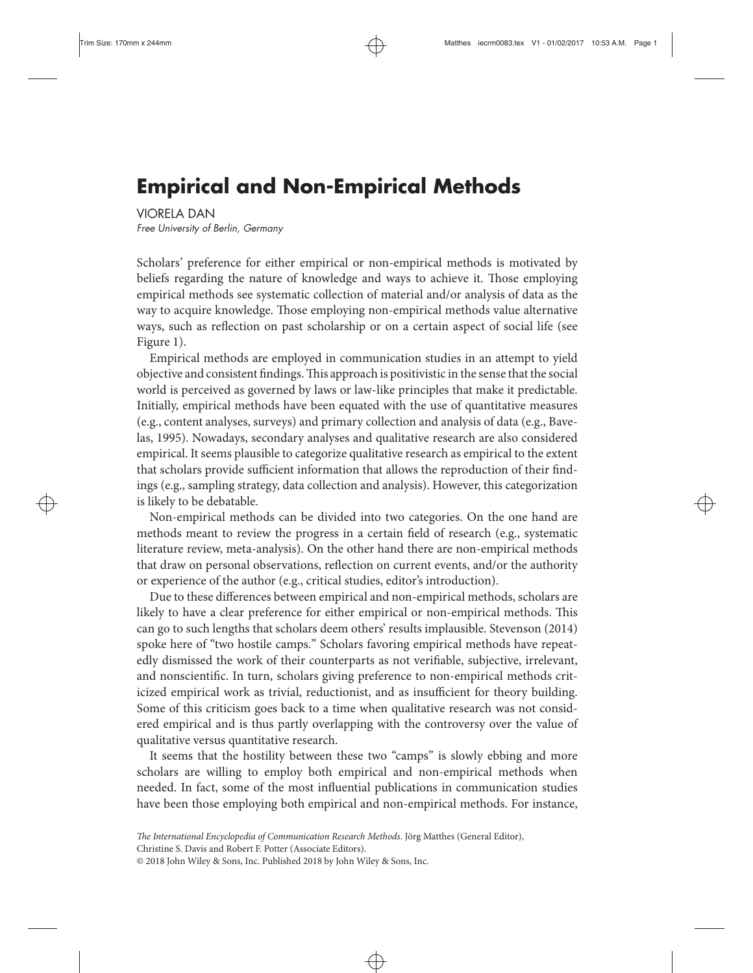# **Empirical and Non-Empirical Methods**

VIORELA DAN

Free University of Berlin, Germany

Scholars' preference for either empirical or non-empirical methods is motivated by beliefs regarding the nature of knowledge and ways to achieve it. Those employing empirical methods see systematic collection of material and/or analysis of data as the way to acquire knowledge. Those employing non-empirical methods value alternative ways, such as reflection on past scholarship or on a certain aspect of social life (see Figure 1).

Empirical methods are employed in communication studies in an attempt to yield objective and consistent findings.This approach is positivistic in the sense that the social world is perceived as governed by laws or law-like principles that make it predictable. Initially, empirical methods have been equated with the use of quantitative measures (e.g., content analyses, surveys) and primary collection and analysis of data (e.g., Bavelas, 1995). Nowadays, secondary analyses and qualitative research are also considered empirical. It seems plausible to categorize qualitative research as empirical to the extent that scholars provide sufficient information that allows the reproduction of their findings (e.g., sampling strategy, data collection and analysis). However, this categorization is likely to be debatable.

Non-empirical methods can be divided into two categories. On the one hand are methods meant to review the progress in a certain field of research (e.g., systematic literature review, meta-analysis). On the other hand there are non-empirical methods that draw on personal observations, reflection on current events, and/or the authority or experience of the author (e.g., critical studies, editor's introduction).

Due to these differences between empirical and non-empirical methods, scholars are likely to have a clear preference for either empirical or non-empirical methods. This can go to such lengths that scholars deem others' results implausible. Stevenson (2014) spoke here of "two hostile camps." Scholars favoring empirical methods have repeatedly dismissed the work of their counterparts as not verifiable, subjective, irrelevant, and nonscientific. In turn, scholars giving preference to non-empirical methods criticized empirical work as trivial, reductionist, and as insufficient for theory building. Some of this criticism goes back to a time when qualitative research was not considered empirical and is thus partly overlapping with the controversy over the value of qualitative versus quantitative research.

It seems that the hostility between these two "camps" is slowly ebbing and more scholars are willing to employ both empirical and non-empirical methods when needed. In fact, some of the most influential publications in communication studies have been those employing both empirical and non-empirical methods. For instance,

Christine S. Davis and Robert F. Potter (Associate Editors).

© 2018 John Wiley & Sons, Inc. Published 2018 by John Wiley & Sons, Inc.

*The International Encyclopedia of Communication Research Methods*. Jörg Matthes (General Editor),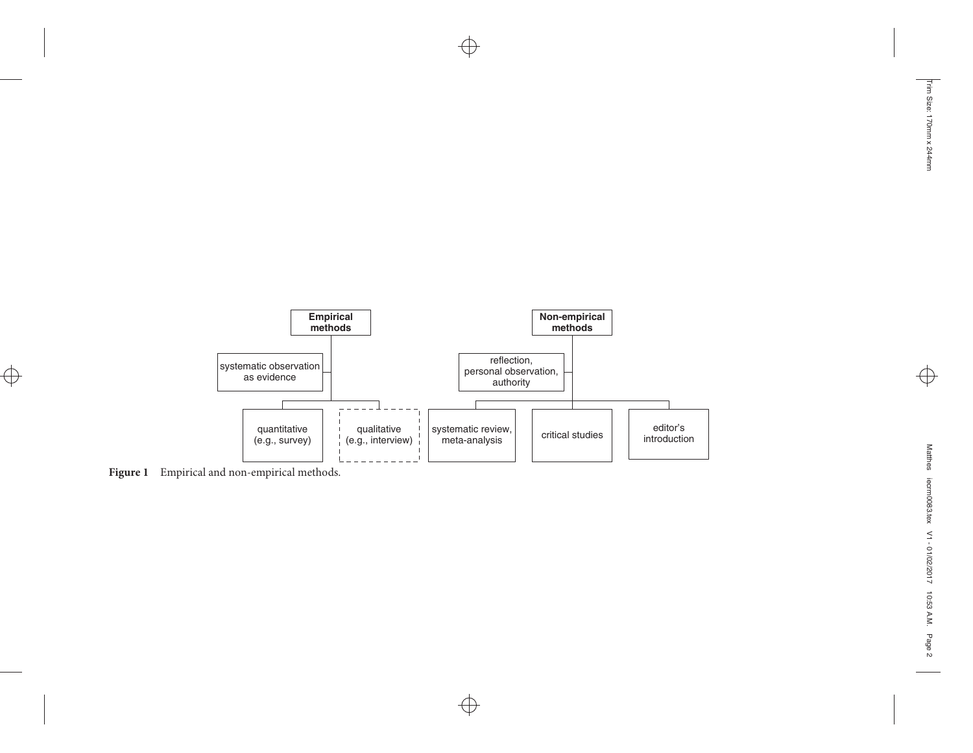

 $\oplus$ 

 $\bigoplus$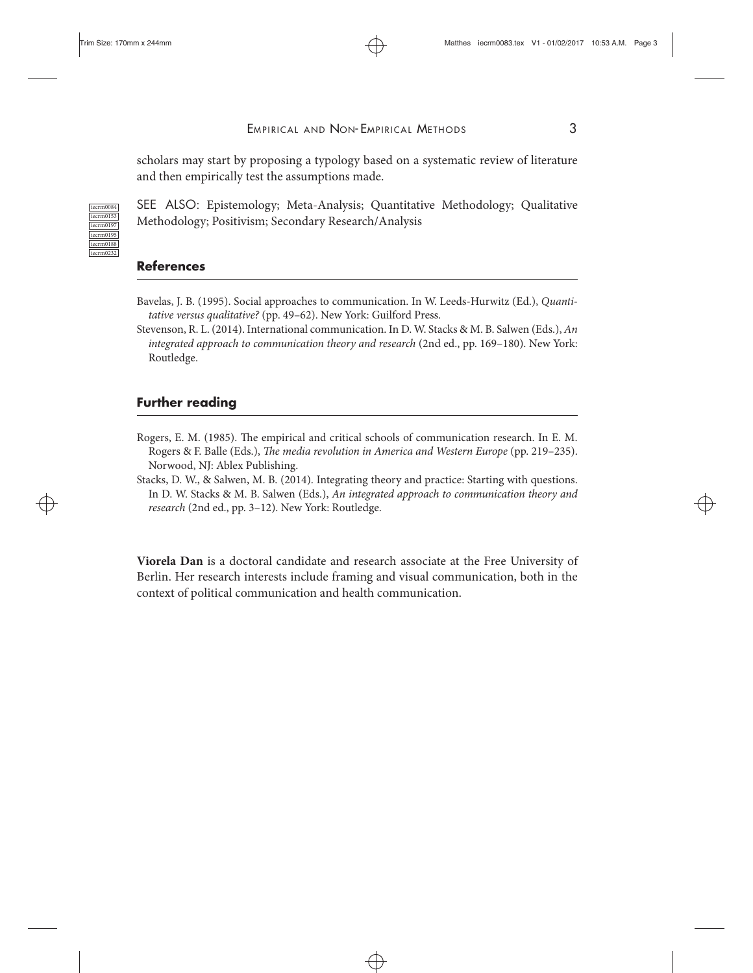iecrm0153

iecrm0195 iecrm0188 iecrm0232 EMPIRICAL AND NON-EMPIRICAL METHODS 3

scholars may start by proposing a typology based on a systematic review of literature and then empirically test the assumptions made.

SEE ALSO: Epistemology; Meta-Analysis; Quantitative Methodology; Qualitative Methodology; Positivism; Secondary Research/Analysis

## **References**

- Bavelas, J. B. (1995). Social approaches to communication. In W. Leeds-Hurwitz (Ed.), *Quantitative versus qualitative?* (pp. 49–62). New York: Guilford Press.
- Stevenson, R. L. (2014). International communication. In D. W. Stacks & M. B. Salwen (Eds.), *An integrated approach to communication theory and research* (2nd ed., pp. 169–180). New York: Routledge.

### **Further reading**

- Rogers, E. M. (1985). The empirical and critical schools of communication research. In E. M. Rogers & F. Balle (Eds.), *The media revolution in America and Western Europe* (pp. 219–235). Norwood, NJ: Ablex Publishing.
- Stacks, D. W., & Salwen, M. B. (2014). Integrating theory and practice: Starting with questions. In D. W. Stacks & M. B. Salwen (Eds.), *An integrated approach to communication theory and research* (2nd ed., pp. 3–12). New York: Routledge.

**Viorela Dan** is a doctoral candidate and research associate at the Free University of Berlin. Her research interests include framing and visual communication, both in the context of political communication and health communication.